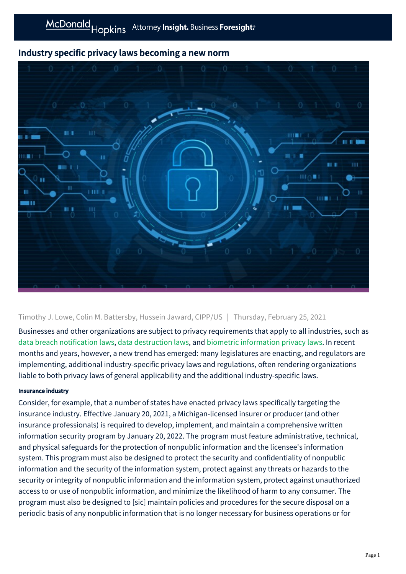## Industry specific privacy laws becoming a new norm



## Timothy J. Lowe, Colin M. Battersby, Hussein Jaward, CIPP/US | Thursday, February 25, 2021

Businesses and other organizations are subject to privacy requirements that apply to all industries, such as [data breach notification laws,](https://mcdonaldhopkins.com/Insights/June-2020-(1)/Vermont-amends-data-breach-notification-statute) [data destruction laws,](https://mcdonaldhopkins.com/Insights/September-2018/New-data-privacy-laws-continue-to-change-the-lands) and [biometric information privacy laws](https://mcdonaldhopkins.com/Insights/January-2018/Actual-injury-required-to-state-a-claim-under-the). In recent months and years, however, a new trend has emerged: many legislatures are enacting, and regulators are implementing, additional industry-specific privacy laws and regulations, often rendering organizations liable to both privacy laws of general applicability and the additional industry-specific laws.

## Insurance industry

Consider, for example, that a number of states have enacted privacy laws specifically targeting the insurance industry. Effective January 20, 2021, a Michigan-licensed insurer or producer (and other insurance professionals) is required to develop, implement, and maintain a comprehensive written information security program by January 20, 2022. The program must feature administrative, technical, and physical safeguards for the protection of nonpublic information and the licensee's information system. This program must also be designed to protect the security and confidentiality of nonpublic information and the security of the information system, protect against any threats or hazards to the security or integrity of nonpublic information and the information system, protect against unauthorized access to or use of nonpublic information, and minimize the likelihood of harm to any consumer. The program must also be designed to [sic] maintain policies and procedures for the secure disposal on a periodic basis of any nonpublic information that is no longer necessary for business operations or for